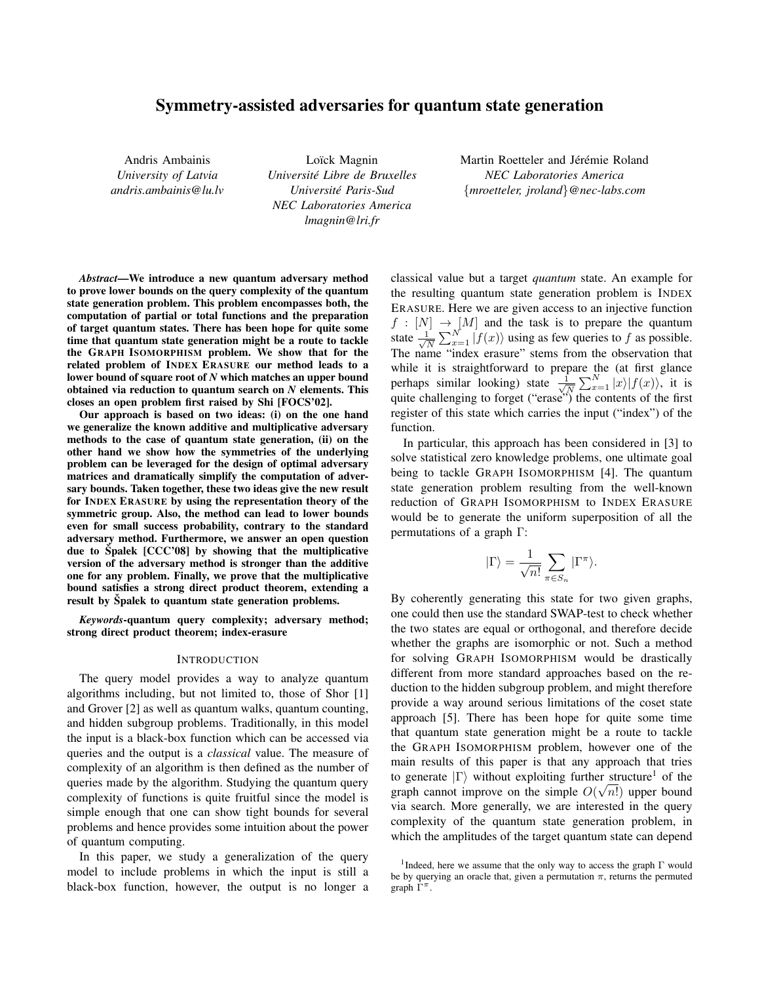# Symmetry-assisted adversaries for quantum state generation

Andris Ambainis *University of Latvia andris.ambainis@lu.lv*

Loïck Magnin *Universite Libre de Bruxelles ´ Universite Paris-Sud ´ NEC Laboratories America lmagnin@lri.fr*

Martin Roetteler and Jérémie Roland *NEC Laboratories America* {*mroetteler, jroland*}*@nec-labs.com*

*Abstract*—We introduce a new quantum adversary method to prove lower bounds on the query complexity of the quantum state generation problem. This problem encompasses both, the computation of partial or total functions and the preparation of target quantum states. There has been hope for quite some time that quantum state generation might be a route to tackle the GRAPH ISOMORPHISM problem. We show that for the related problem of INDEX ERASURE our method leads to a lower bound of square root of *N* which matches an upper bound obtained via reduction to quantum search on *N* elements. This closes an open problem first raised by Shi [FOCS'02].

Our approach is based on two ideas: (i) on the one hand we generalize the known additive and multiplicative adversary methods to the case of quantum state generation, (ii) on the other hand we show how the symmetries of the underlying problem can be leveraged for the design of optimal adversary matrices and dramatically simplify the computation of adversary bounds. Taken together, these two ideas give the new result for INDEX ERASURE by using the representation theory of the symmetric group. Also, the method can lead to lower bounds even for small success probability, contrary to the standard adversary method. Furthermore, we answer an open question due to Spalek  $[CCC'08]$  by showing that the multiplicative version of the adversary method is stronger than the additive one for any problem. Finally, we prove that the multiplicative bound satisfies a strong direct product theorem, extending a result by Spalek to quantum state generation problems.

*Keywords*-quantum query complexity; adversary method; strong direct product theorem; index-erasure

#### INTRODUCTION

The query model provides a way to analyze quantum algorithms including, but not limited to, those of Shor [1] and Grover [2] as well as quantum walks, quantum counting, and hidden subgroup problems. Traditionally, in this model the input is a black-box function which can be accessed via queries and the output is a *classical* value. The measure of complexity of an algorithm is then defined as the number of queries made by the algorithm. Studying the quantum query complexity of functions is quite fruitful since the model is simple enough that one can show tight bounds for several problems and hence provides some intuition about the power of quantum computing.

In this paper, we study a generalization of the query model to include problems in which the input is still a black-box function, however, the output is no longer a classical value but a target *quantum* state. An example for the resulting quantum state generation problem is INDEX ERASURE. Here we are given access to an injective function  $f : [N] \rightarrow [M]$  and the task is to prepare the quantum state  $\frac{1}{\sqrt{2}}$  $\frac{1}{N} \sum_{x=1}^{N} |f(x)\rangle$  using as few queries to f as possible. The name "index erasure" stems from the observation that while it is straightforward to prepare the (at first glance perhaps similar looking) state  $\frac{1}{\sqrt{2}}$  $\frac{1}{N} \sum_{x=1}^{N} |x\rangle |f(x)\rangle$ , it is quite challenging to forget ("erase") the contents of the first register of this state which carries the input ("index") of the function.

In particular, this approach has been considered in [3] to solve statistical zero knowledge problems, one ultimate goal being to tackle GRAPH ISOMORPHISM [4]. The quantum state generation problem resulting from the well-known reduction of GRAPH ISOMORPHISM to INDEX ERASURE would be to generate the uniform superposition of all the permutations of a graph Γ:

$$
|\Gamma\rangle = \frac{1}{\sqrt{n!}} \sum_{\pi \in S_n} |\Gamma^{\pi}\rangle.
$$

By coherently generating this state for two given graphs, one could then use the standard SWAP-test to check whether the two states are equal or orthogonal, and therefore decide whether the graphs are isomorphic or not. Such a method for solving GRAPH ISOMORPHISM would be drastically different from more standard approaches based on the reduction to the hidden subgroup problem, and might therefore provide a way around serious limitations of the coset state approach [5]. There has been hope for quite some time that quantum state generation might be a route to tackle the GRAPH ISOMORPHISM problem, however one of the main results of this paper is that any approach that tries to generate  $|\Gamma\rangle$  without exploiting further structure<sup>1</sup> of the graph cannot improve on the simple  $O(\sqrt{n!})$  upper bound via search. More generally, we are interested in the query complexity of the quantum state generation problem, in which the amplitudes of the target quantum state can depend

<sup>&</sup>lt;sup>1</sup>Indeed, here we assume that the only way to access the graph  $\Gamma$  would be by querying an oracle that, given a permutation  $\pi$ , returns the permuted graph  $\tilde{\Gamma}^{\pi}$ .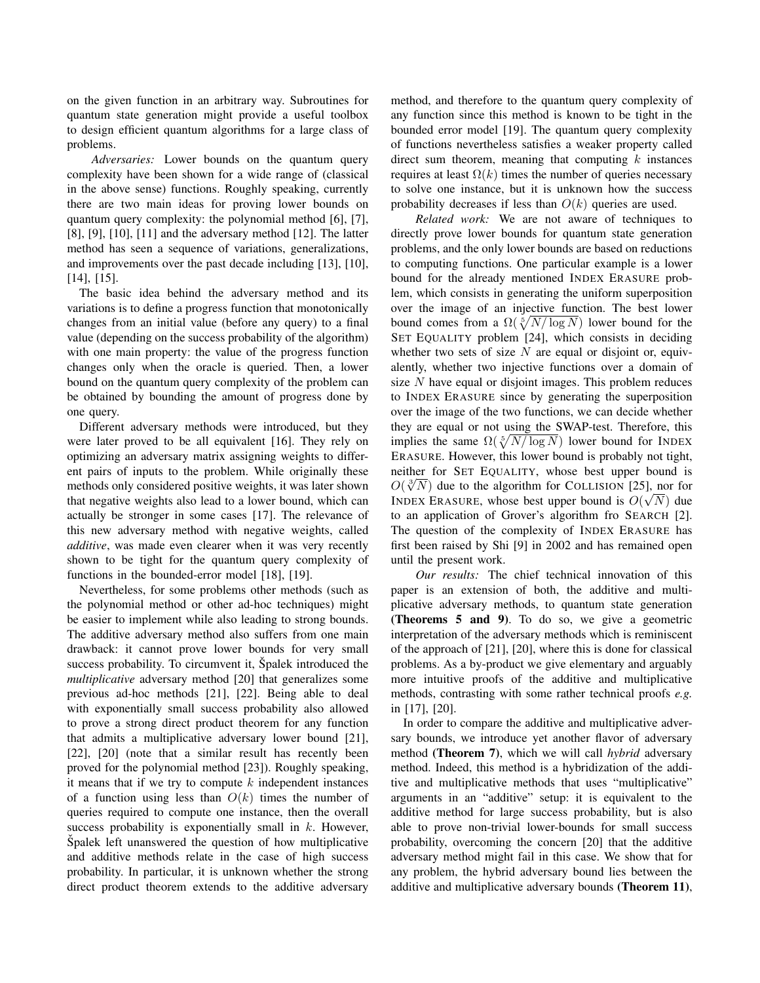on the given function in an arbitrary way. Subroutines for quantum state generation might provide a useful toolbox to design efficient quantum algorithms for a large class of problems.

*Adversaries:* Lower bounds on the quantum query complexity have been shown for a wide range of (classical in the above sense) functions. Roughly speaking, currently there are two main ideas for proving lower bounds on quantum query complexity: the polynomial method [6], [7], [8], [9], [10], [11] and the adversary method [12]. The latter method has seen a sequence of variations, generalizations, and improvements over the past decade including [13], [10], [14], [15].

The basic idea behind the adversary method and its variations is to define a progress function that monotonically changes from an initial value (before any query) to a final value (depending on the success probability of the algorithm) with one main property: the value of the progress function changes only when the oracle is queried. Then, a lower bound on the quantum query complexity of the problem can be obtained by bounding the amount of progress done by one query.

Different adversary methods were introduced, but they were later proved to be all equivalent [16]. They rely on optimizing an adversary matrix assigning weights to different pairs of inputs to the problem. While originally these methods only considered positive weights, it was later shown that negative weights also lead to a lower bound, which can actually be stronger in some cases [17]. The relevance of this new adversary method with negative weights, called *additive*, was made even clearer when it was very recently shown to be tight for the quantum query complexity of functions in the bounded-error model [18], [19].

Nevertheless, for some problems other methods (such as the polynomial method or other ad-hoc techniques) might be easier to implement while also leading to strong bounds. The additive adversary method also suffers from one main drawback: it cannot prove lower bounds for very small success probability. To circumvent it, Spalek introduced the *multiplicative* adversary method [20] that generalizes some previous ad-hoc methods [21], [22]. Being able to deal with exponentially small success probability also allowed to prove a strong direct product theorem for any function that admits a multiplicative adversary lower bound [21], [22], [20] (note that a similar result has recently been proved for the polynomial method [23]). Roughly speaking, it means that if we try to compute  $k$  independent instances of a function using less than  $O(k)$  times the number of queries required to compute one instance, then the overall success probability is exponentially small in  $k$ . However, Spalek left unanswered the question of how multiplicative and additive methods relate in the case of high success probability. In particular, it is unknown whether the strong direct product theorem extends to the additive adversary method, and therefore to the quantum query complexity of any function since this method is known to be tight in the bounded error model [19]. The quantum query complexity of functions nevertheless satisfies a weaker property called direct sum theorem, meaning that computing  $k$  instances requires at least  $\Omega(k)$  times the number of queries necessary to solve one instance, but it is unknown how the success probability decreases if less than  $O(k)$  queries are used.

*Related work:* We are not aware of techniques to directly prove lower bounds for quantum state generation problems, and the only lower bounds are based on reductions to computing functions. One particular example is a lower bound for the already mentioned INDEX ERASURE problem, which consists in generating the uniform superposition over the image of an injective function. The best lower bound comes from a  $\Omega(\sqrt[5]{N/\log N})$  lower bound for the SET EQUALITY problem [24], which consists in deciding whether two sets of size  $N$  are equal or disjoint or, equivalently, whether two injective functions over a domain of size  $N$  have equal or disjoint images. This problem reduces to INDEX ERASURE since by generating the superposition over the image of the two functions, we can decide whether they are equal or not using the SWAP-test. Therefore, this implies the same  $\Omega(\sqrt[5]{N/\log N})$  lower bound for INDEX ERASURE. However, this lower bound is probably not tight, neither for SET EQUALITY, whose best upper bound is meither for SET EQUALITY, whose best upper bound is  $O(\sqrt[3]{N})$  due to the algorithm for COLLISION [25], nor for INDEX ERASURE, whose best upper bound is  $O(\sqrt{N})$  due to an application of Grover's algorithm fro SEARCH [2]. The question of the complexity of INDEX ERASURE has first been raised by Shi [9] in 2002 and has remained open until the present work.

*Our results:* The chief technical innovation of this paper is an extension of both, the additive and multiplicative adversary methods, to quantum state generation (Theorems 5 and 9). To do so, we give a geometric interpretation of the adversary methods which is reminiscent of the approach of [21], [20], where this is done for classical problems. As a by-product we give elementary and arguably more intuitive proofs of the additive and multiplicative methods, contrasting with some rather technical proofs *e.g.* in [17], [20].

In order to compare the additive and multiplicative adversary bounds, we introduce yet another flavor of adversary method (Theorem 7), which we will call *hybrid* adversary method. Indeed, this method is a hybridization of the additive and multiplicative methods that uses "multiplicative" arguments in an "additive" setup: it is equivalent to the additive method for large success probability, but is also able to prove non-trivial lower-bounds for small success probability, overcoming the concern [20] that the additive adversary method might fail in this case. We show that for any problem, the hybrid adversary bound lies between the additive and multiplicative adversary bounds (Theorem 11),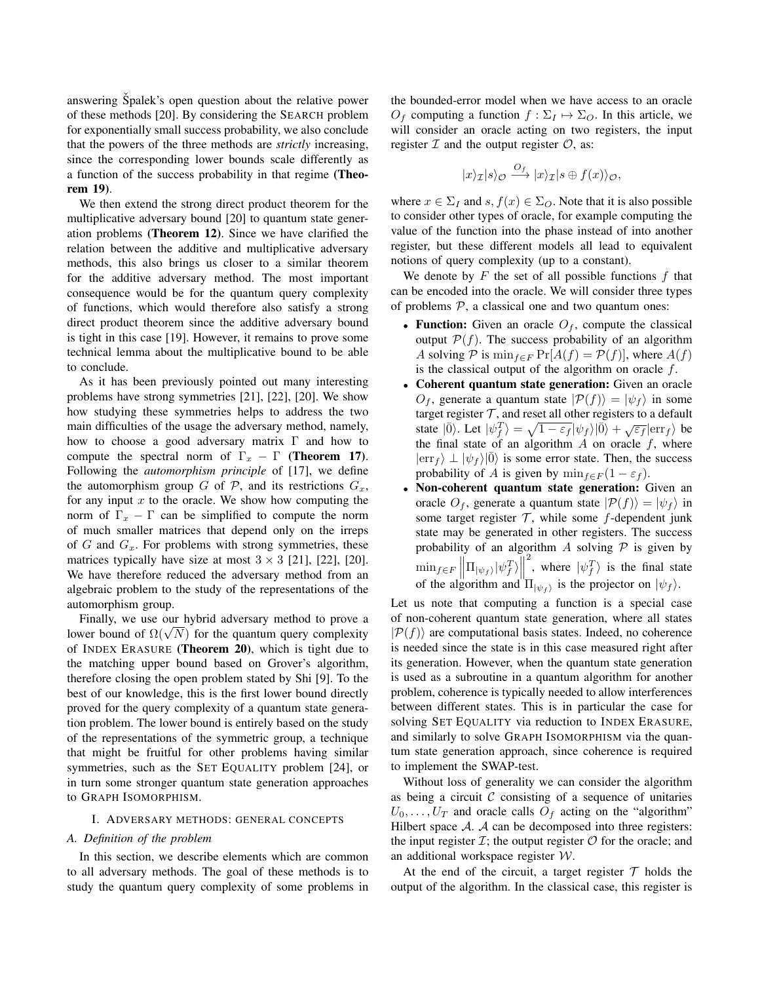answering Spalek's open question about the relative power of these methods [20]. By considering the SEARCH problem for exponentially small success probability, we also conclude that the powers of the three methods are *strictly* increasing, since the corresponding lower bounds scale differently as a function of the success probability in that regime (Theorem 19).

We then extend the strong direct product theorem for the multiplicative adversary bound [20] to quantum state generation problems (Theorem 12). Since we have clarified the relation between the additive and multiplicative adversary methods, this also brings us closer to a similar theorem for the additive adversary method. The most important consequence would be for the quantum query complexity of functions, which would therefore also satisfy a strong direct product theorem since the additive adversary bound is tight in this case [19]. However, it remains to prove some technical lemma about the multiplicative bound to be able to conclude.

As it has been previously pointed out many interesting problems have strong symmetries [21], [22], [20]. We show how studying these symmetries helps to address the two main difficulties of the usage the adversary method, namely, how to choose a good adversary matrix Γ and how to compute the spectral norm of  $\Gamma_x - \Gamma$  (Theorem 17). Following the *automorphism principle* of [17], we define the automorphism group G of P, and its restrictions  $G_x$ , for any input  $x$  to the oracle. We show how computing the norm of  $\Gamma_x - \Gamma$  can be simplified to compute the norm of much smaller matrices that depend only on the irreps of  $G$  and  $G_x$ . For problems with strong symmetries, these matrices typically have size at most  $3 \times 3$  [21], [22], [20]. We have therefore reduced the adversary method from an algebraic problem to the study of the representations of the automorphism group.

Finally, we use our hybrid adversary method to prove a Finally, we use our hybrid adversary method to prove a<br>lower bound of  $\Omega(\sqrt{N})$  for the quantum query complexity of INDEX ERASURE (Theorem 20), which is tight due to the matching upper bound based on Grover's algorithm, therefore closing the open problem stated by Shi [9]. To the best of our knowledge, this is the first lower bound directly proved for the query complexity of a quantum state generation problem. The lower bound is entirely based on the study of the representations of the symmetric group, a technique that might be fruitful for other problems having similar symmetries, such as the SET EQUALITY problem [24], or in turn some stronger quantum state generation approaches to GRAPH ISOMORPHISM.

#### I. ADVERSARY METHODS: GENERAL CONCEPTS

#### *A. Definition of the problem*

In this section, we describe elements which are common to all adversary methods. The goal of these methods is to study the quantum query complexity of some problems in the bounded-error model when we have access to an oracle  $O_f$  computing a function  $f : \Sigma_I \mapsto \Sigma_O$ . In this article, we will consider an oracle acting on two registers, the input register  $\mathcal I$  and the output register  $\mathcal O$ , as:

$$
|x\rangle_{\mathcal{I}}|s\rangle_{\mathcal{O}} \xrightarrow{O_f} |x\rangle_{\mathcal{I}}|s \oplus f(x)\rangle_{\mathcal{O}},
$$

where  $x \in \Sigma_I$  and  $s, f(x) \in \Sigma_O$ . Note that it is also possible to consider other types of oracle, for example computing the value of the function into the phase instead of into another register, but these different models all lead to equivalent notions of query complexity (up to a constant).

We denote by  $F$  the set of all possible functions  $f$  that can be encoded into the oracle. We will consider three types of problems  $P$ , a classical one and two quantum ones:

- Function: Given an oracle  $O<sub>f</sub>$ , compute the classical output  $P(f)$ . The success probability of an algorithm A solving P is  $\min_{f \in F} \Pr[A(f) = \mathcal{P}(f)]$ , where  $A(f)$ is the classical output of the algorithm on oracle  $f$ .
- Coherent quantum state generation: Given an oracle  $O_f$ , generate a quantum state  $|\mathcal{P}(f)\rangle = |\psi_f\rangle$  in some target register  $T$ , and reset all other registers to a default state  $|\overline{0}\rangle$ . Let  $|\psi_f^T\rangle = \sqrt{1 - \varepsilon_f} |\psi_f\rangle |\overline{0}\rangle + \sqrt{\varepsilon_f} |\text{err}_f\rangle$  be the final state of an algorithm  $A$  on oracle  $f$ , where  $|\text{err}_f\rangle \perp |\psi_f\rangle |\bar{0}\rangle$  is some error state. Then, the success probability of A is given by  $\min_{f \in F} (1 - \varepsilon_f)$ .
- Non-coherent quantum state generation: Given an oracle  $O_f$ , generate a quantum state  $|\mathcal{P}(f)\rangle = |\psi_f\rangle$  in some target register  $T$ , while some f-dependent junk state may be generated in other registers. The success probability of an algorithm A solving  $P$  is given by  $\min_{f \in F} \left\| \prod_{\{\psi_f\}} |\psi_f^T \rangle \right\|$ <sup>2</sup>, where  $|\psi_f^T\rangle$  is the final state of the algorithm and  $\Pi_{|\psi_f\rangle}$  is the projector on  $|\psi_f\rangle$ .

Let us note that computing a function is a special case of non-coherent quantum state generation, where all states  $|\mathcal{P}(f)\rangle$  are computational basis states. Indeed, no coherence is needed since the state is in this case measured right after its generation. However, when the quantum state generation is used as a subroutine in a quantum algorithm for another problem, coherence is typically needed to allow interferences between different states. This is in particular the case for solving SET EQUALITY via reduction to INDEX ERASURE, and similarly to solve GRAPH ISOMORPHISM via the quantum state generation approach, since coherence is required to implement the SWAP-test.

Without loss of generality we can consider the algorithm as being a circuit  $C$  consisting of a sequence of unitaries  $U_0, \ldots, U_T$  and oracle calls  $O_f$  acting on the "algorithm" Hilbert space  $A$ .  $A$  can be decomposed into three registers: the input register  $\mathcal{I}$ ; the output register  $\mathcal{O}$  for the oracle; and an additional workspace register W.

At the end of the circuit, a target register  $T$  holds the output of the algorithm. In the classical case, this register is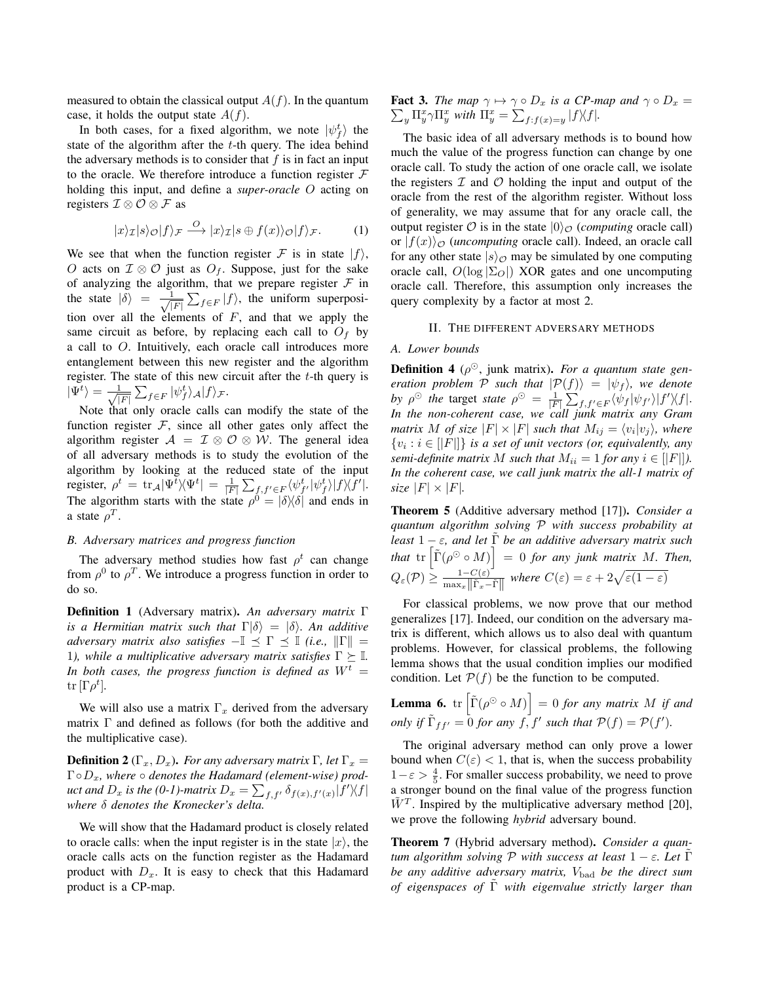measured to obtain the classical output  $A(f)$ . In the quantum case, it holds the output state  $A(f)$ .

In both cases, for a fixed algorithm, we note  $|\psi_f^t\rangle$  the state of the algorithm after the  $t$ -th query. The idea behind the adversary methods is to consider that  $f$  is in fact an input to the oracle. We therefore introduce a function register  $F$ holding this input, and define a *super-oracle* O acting on registers  $\mathcal{I} \otimes \mathcal{O} \otimes \mathcal{F}$  as

$$
|x\rangle_{\mathcal{I}}|s\rangle_{\mathcal{O}}|f\rangle_{\mathcal{F}} \stackrel{O}{\longrightarrow} |x\rangle_{\mathcal{I}}|s \oplus f(x)\rangle_{\mathcal{O}}|f\rangle_{\mathcal{F}}.
$$
 (1)

We see that when the function register F is in state  $|f\rangle$ , O acts on  $\mathcal{I} \otimes \mathcal{O}$  just as  $O_f$ . Suppose, just for the sake of analyzing the algorithm, that we prepare register  $\mathcal F$  in the state  $|\delta\rangle = \frac{1}{\sqrt{2}}$  $\frac{1}{|F|} \sum_{f \in F} |f\rangle$ , the uniform superposition over all the elements of  $F$ , and that we apply the same circuit as before, by replacing each call to  $O<sub>f</sub>$  by a call to O. Intuitively, each oracle call introduces more entanglement between this new register and the algorithm register. The state of this new circuit after the  $t$ -th query is  $|\Psi^t\rangle = -\frac{1}{\sqrt{2}}$  $\frac{1}{|F|} \sum_{f \in F} |\psi_f^t \rangle_{\mathcal{A}} |f \rangle_{\mathcal{F}}.$ 

Note that only oracle calls can modify the state of the function register  $\mathcal F$ , since all other gates only affect the algorithm register  $A = \mathcal{I} \otimes \mathcal{O} \otimes \mathcal{W}$ . The general idea of all adversary methods is to study the evolution of the algorithm by looking at the reduced state of the input register,  $\rho^t\,=\,\text{tr}_{\mathcal{A}}|\Psi^t\rangle\!\langle\Psi^t|\,=\,\frac{1}{|F|}\sum_{f,f'\in F}\langle\psi^t_{f'}|\psi^t_f\rangle|f\rangle\!\langle f'|.$ The algorithm starts with the state  $\rho^0 = |\delta\rangle\langle \delta|$  and ends in a state  $\rho^T$ .

## *B. Adversary matrices and progress function*

The adversary method studies how fast  $\rho^t$  can change from  $\rho^0$  to  $\rho^T$ . We introduce a progress function in order to do so.

Definition 1 (Adversary matrix). *An adversary matrix* Γ *is a Hermitian matrix such that*  $\Gamma|\delta\rangle = |\delta\rangle$ *. An additive adversary matrix also satisfies*  $-\mathbb{I} \preceq \Gamma \preceq \mathbb{I}$  *(i.e.,*  $\|\Gamma\|$  = 1), while a multiplicative adversary matrix satisfies  $\Gamma \succeq \mathbb{I}$ . In both cases, the progress function is defined as  $W^t =$  $\mathrm{tr}\, [\Gamma \rho^t].$ 

We will also use a matrix  $\Gamma_x$  derived from the adversary matrix  $\Gamma$  and defined as follows (for both the additive and the multiplicative case).

**Definition 2** ( $\Gamma_x, D_x$ ). *For any adversary matrix* Γ, *let*  $\Gamma_x =$ Γ◦Dx*, where* ◦ *denotes the Hadamard (element-wise) prod*uct and  $D_x$  is the (0-1)-matrix  $D_x = \sum_{f,f'} \delta_{f(x),f'(x)} |f'\rangle\langle f|$ *where* δ *denotes the Kronecker's delta.*

We will show that the Hadamard product is closely related to oracle calls: when the input register is in the state  $|x\rangle$ , the oracle calls acts on the function register as the Hadamard product with  $D_x$ . It is easy to check that this Hadamard product is a CP-map.

 $\sum_{y} \prod_{y}^{x} \gamma \prod_{y}^{x}$  with  $\prod_{y}^{x} = \sum_{f:f(x)=y} |f\rangle\langle f|$ . **Fact 3.** *The map*  $\gamma \mapsto \gamma \circ D_x$  *is a CP-map and*  $\gamma \circ D_x =$ 

The basic idea of all adversary methods is to bound how much the value of the progress function can change by one oracle call. To study the action of one oracle call, we isolate the registers  $I$  and  $O$  holding the input and output of the oracle from the rest of the algorithm register. Without loss of generality, we may assume that for any oracle call, the output register  $\mathcal O$  is in the state  $|0\rangle_{\mathcal O}$  (*computing* oracle call) or  $|f(x)\rangle_{\mathcal{O}}$  *(uncomputing* oracle call). Indeed, an oracle call for any other state  $|s\rangle_{\mathcal{O}}$  may be simulated by one computing oracle call,  $O(\log |\Sigma_O|)$  XOR gates and one uncomputing oracle call. Therefore, this assumption only increases the query complexity by a factor at most 2.

# II. THE DIFFERENT ADVERSARY METHODS

## *A. Lower bounds*

**Definition 4** ( $\rho^{\odot}$ , junk matrix). *For a quantum state generation problem*  $P$  *such that*  $|P(f)\rangle = |\psi_f\rangle$ *, we denote* by  $\rho^{\odot}$  the target *state*  $\rho^{\odot} = \frac{1}{|F|} \sum_{f,f' \in F} \langle \psi_f | \psi_{f'} \rangle | f' \rangle \langle f |$ . *In the non-coherent case, we call junk matrix any Gram matrix*  $M$  of size  $|F| \times |F|$  such that  $M_{ij} = \langle v_i | v_j \rangle$ , where  $\{v_i : i \in [|F|] \}$  *is a set of unit vectors (or, equivalently, any semi-definite matrix* M *such that*  $M_{ii} = 1$  *for any*  $i \in [F|]$ *). In the coherent case, we call junk matrix the all-1 matrix of size*  $|F| \times |F|$ *.* 

Theorem 5 (Additive adversary method [17]). *Consider a quantum algorithm solving* P *with success probability at least*  $1 - \varepsilon$ *, and let*  $\Gamma$  *be an additive adversary matrix such that*  $\text{tr} \left[ \tilde{\Gamma}(\rho^{\odot} \circ M) \right] = 0$  *for any junk matrix M. Then,*  $Q_{\varepsilon}(\mathcal{P}) \ge \frac{1 - C(\varepsilon)}{\max_{x} \|\tilde{\Gamma}_{x} - \tilde{\Gamma}\|}$  where  $C(\varepsilon) = \varepsilon + 2\sqrt{\varepsilon(1-\varepsilon)}$ 

For classical problems, we now prove that our method generalizes [17]. Indeed, our condition on the adversary matrix is different, which allows us to also deal with quantum problems. However, for classical problems, the following lemma shows that the usual condition implies our modified condition. Let  $P(f)$  be the function to be computed.

**Lemma 6.** tr 
$$
[\tilde{\Gamma}(\rho^{\odot} \circ M)] = 0
$$
 for any matrix M if and only if  $\tilde{\Gamma}_{ff'}$  = 0 for any f, f' such that  $\mathcal{P}(f) = \mathcal{P}(f')$ .

The original adversary method can only prove a lower bound when  $C(\varepsilon) < 1$ , that is, when the success probability  $1-\varepsilon > \frac{4}{5}$ . For smaller success probability, we need to prove a stronger bound on the final value of the progress function  $\tilde{W}^T$ . Inspired by the multiplicative adversary method [20], we prove the following *hybrid* adversary bound.

Theorem 7 (Hybrid adversary method). *Consider a quantum algorithm solving*  $P$  *with success at least*  $1 - \varepsilon$ *. Let*  $\Gamma$ *be any additive adversary matrix, V*bad *be the direct sum of eigenspaces of* Γ˜ *with eigenvalue strictly larger than*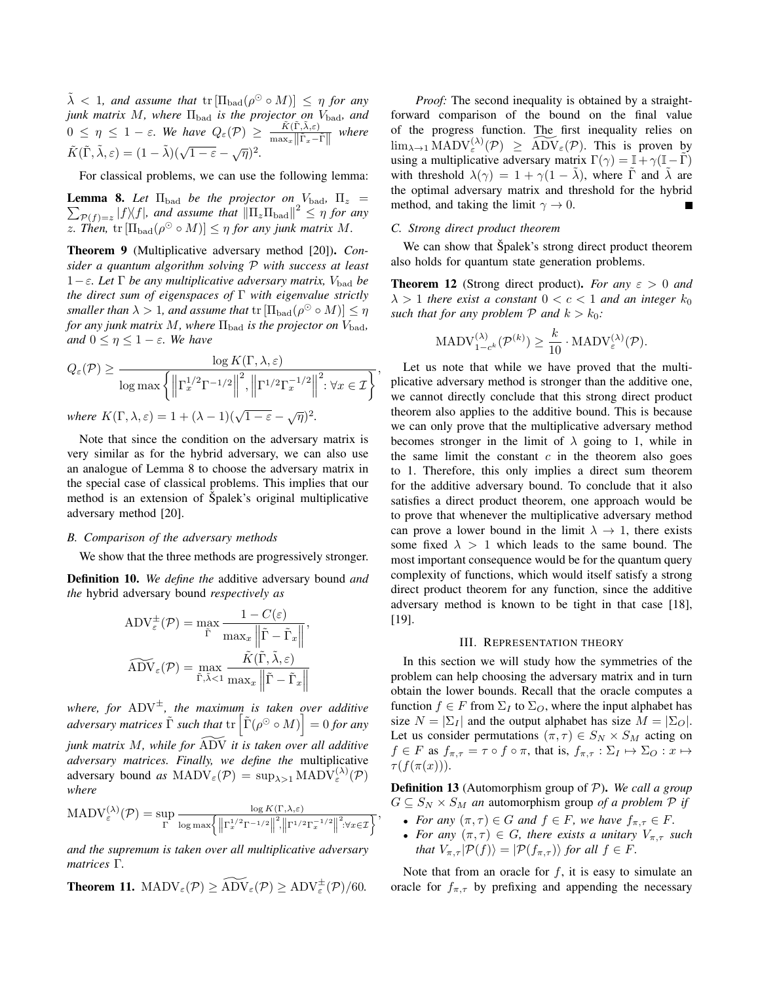$\tilde{\lambda}$  < 1, and assume that  $tr\left[\Pi_{bad}(\rho^{\odot} \circ M)\right] \leq \eta$  for any *junk matrix M, where*  $\Pi_{bad}$  *is the projector on*  $V_{bad}$ *, and*  $0 \leq \eta \leq 1 - \varepsilon$ . We have  $Q_{\varepsilon}(\mathcal{P}) \geq \frac{\tilde{K}(\tilde{\Gamma}, \tilde{\lambda}, \varepsilon)}{\max_{\mathcal{P}} ||\tilde{\Gamma}||_{\infty}}$  $\frac{K(\Gamma,\lambda,\varepsilon)}{\max_x \|\tilde{\Gamma}_x-\tilde{\Gamma}\|}$  where  $\tilde{K}(\tilde{\Gamma}, \tilde{\lambda}, \varepsilon) = (1 - \tilde{\lambda})(\sqrt{1 - \varepsilon} - \sqrt{\eta})^2.$ 

For classical problems, we can use the following lemma:

**Lemma 8.** Let  $\Pi_{bad}$  be the projector on  $V_{bad}$ ,  $\Pi_z$  =  $\sum_{\mathcal{P}(f)=z} |f\rangle\langle f|$ , and assume that  $\|\Pi_z\Pi_{bad}\|^2 \leq \eta$  for any z. Then,  $\text{tr}[\Pi_{bad}(\rho^{\odot} \circ M)] \leq \eta$  for any junk matrix M.

Theorem 9 (Multiplicative adversary method [20]). *Consider a quantum algorithm solving* P *with success at least*  $1−ε$ *. Let* Γ *be any multiplicative adversary matrix,*  $V_{bad}$  *be the direct sum of eigenspaces of* Γ *with eigenvalue strictly smaller than*  $\lambda > 1$ *, and assume that*  $\text{tr}[\Pi_{\text{bad}}(\rho^{\odot} \circ M)] \leq \eta$ *for any junk matrix M, where*  $\Pi_{\mathrm{bad}}$  *is the projector on*  $V_{\mathrm{bad}}$ *, and*  $0 \leq \eta \leq 1 - \varepsilon$ *. We have* 

$$
Q_{\varepsilon}(\mathcal{P}) \ge \frac{\log K(\Gamma, \lambda, \varepsilon)}{\log \max \left\{ \left\| \Gamma_x^{1/2} \Gamma^{-1/2} \right\|^2, \left\| \Gamma^{1/2} \Gamma_x^{-1/2} \right\|^2 : \forall x \in \mathcal{I} \right\}},
$$
  
where  $K(\Gamma, \lambda, \varepsilon) = 1 + (\lambda - 1)(\sqrt{1 - \varepsilon} - \sqrt{\eta})^2$ .

 $\overline{1-\varepsilon}$  –  $\sqrt{\eta}$ *.*

Note that since the condition on the adversary matrix is very similar as for the hybrid adversary, we can also use an analogue of Lemma 8 to choose the adversary matrix in the special case of classical problems. This implies that our method is an extension of Spalek's original multiplicative adversary method [20].

## *B. Comparison of the adversary methods*

We show that the three methods are progressively stronger.

Definition 10. *We define the* additive adversary bound *and the* hybrid adversary bound *respectively as*

$$
ADV_{\varepsilon}^{\pm}(\mathcal{P}) = \max_{\tilde{\Gamma}} \frac{1 - C(\varepsilon)}{\max_{x} ||\tilde{\Gamma} - \tilde{\Gamma}_{x}||},
$$

$$
\widetilde{\text{ADV}}_{\varepsilon}(\mathcal{P}) = \max_{\tilde{\Gamma}, \tilde{\lambda} < 1} \frac{\tilde{K}(\tilde{\Gamma}, \tilde{\lambda}, \varepsilon)}{\max_{x} ||\tilde{\Gamma} - \tilde{\Gamma}_{x}||}
$$

*where, for* ADV<sup>±</sup>*, the maximum is taken over additive*  $adversary$  matrices  $\tilde{\Gamma}$  such that  $\text{tr}\left[ \tilde{\Gamma}(\rho^{\odot} \circ M) \right] = 0$  for any *junk matrix M, while for ADV it is taken over all additive adversary matrices. Finally, we define the* multiplicative adversary bound *as*  $\text{MADV}_{\varepsilon}(\mathcal{P}) = \sup_{\lambda > 1} \text{MADV}_{\varepsilon}^{(\lambda)}(\mathcal{P})$ *where*

$$
\text{MADV}_{\varepsilon}^{(\lambda)}(\mathcal{P}) = \sup_{\Gamma} \frac{\log K(\Gamma, \lambda, \varepsilon)}{\log \max \left\{ \left\| \Gamma_x^{1/2} \Gamma^{-1/2} \right\|^2, \left\| \Gamma^{1/2} \Gamma_x^{-1/2} \right\|^2 : \forall x \in \mathcal{I} \right\}},
$$

*and the supremum is taken over all multiplicative adversary matrices* Γ*.*

**Theorem 11.** 
$$
\text{MADV}_{\varepsilon}(\mathcal{P}) \geq \widetilde{\text{ADV}}_{\varepsilon}(\mathcal{P}) \geq \text{ADV}_{\varepsilon}^{\pm}(\mathcal{P})/60.
$$

*Proof:* The second inequality is obtained by a straightforward comparison of the bound on the final value of the progress function. The first inequality relies on  $\lim_{\lambda\to 1} \text{MADV}_{\varepsilon}^{(\lambda)}(\mathcal{P}) \geq \widetilde{\text{ADV}}_{\varepsilon}(\mathcal{P})$ . This is proven by using a multiplicative adversary matrix  $\Gamma(\gamma) = \mathbb{I} + \gamma(\mathbb{I} - \Gamma)$ with threshold  $\lambda(\gamma) = 1 + \gamma(1 - \lambda)$ , where  $\Gamma$  and  $\lambda$  are the optimal adversary matrix and threshold for the hybrid method, and taking the limit  $\gamma \to 0$ .

#### *C. Strong direct product theorem*

We can show that Spalek's strong direct product theorem also holds for quantum state generation problems.

**Theorem 12** (Strong direct product). *For any*  $\varepsilon > 0$  *and*  $\lambda > 1$  *there exist a constant*  $0 < c < 1$  *and an integer*  $k_0$ *such that for any problem*  $P$  *and*  $k > k_0$ *:* 

$$
\text{MADV}_{1-c^k}^{(\lambda)}(\mathcal{P}^{(k)}) \ge \frac{k}{10} \cdot \text{MADV}_{\varepsilon}^{(\lambda)}(\mathcal{P}).
$$

Let us note that while we have proved that the multiplicative adversary method is stronger than the additive one, we cannot directly conclude that this strong direct product theorem also applies to the additive bound. This is because we can only prove that the multiplicative adversary method becomes stronger in the limit of  $\lambda$  going to 1, while in the same limit the constant  $c$  in the theorem also goes to 1. Therefore, this only implies a direct sum theorem for the additive adversary bound. To conclude that it also satisfies a direct product theorem, one approach would be to prove that whenever the multiplicative adversary method can prove a lower bound in the limit  $\lambda \rightarrow 1$ , there exists some fixed  $\lambda > 1$  which leads to the same bound. The most important consequence would be for the quantum query complexity of functions, which would itself satisfy a strong direct product theorem for any function, since the additive adversary method is known to be tight in that case [18], [19].

### III. REPRESENTATION THEORY

In this section we will study how the symmetries of the problem can help choosing the adversary matrix and in turn obtain the lower bounds. Recall that the oracle computes a function  $f \in F$  from  $\Sigma_I$  to  $\Sigma_O$ , where the input alphabet has size  $N = |\Sigma_I|$  and the output alphabet has size  $M = |\Sigma_O|$ . Let us consider permutations  $(\pi, \tau) \in S_N \times S_M$  acting on  $f \in F$  as  $f_{\pi,\tau} = \tau \circ f \circ \pi$ , that is,  $f_{\pi,\tau} : \Sigma_I \mapsto \Sigma_O : x \mapsto$  $\tau(f(\pi(x))).$ 

Definition 13 (Automorphism group of P). *We call a group*  $G \subseteq S_N \times S_M$  *an* automorphism group *of a problem* P *if* 

- *For any*  $(\pi, \tau) \in G$  *and*  $f \in F$ *, we have*  $f_{\pi, \tau} \in F$ *.*
- For any  $(\pi, \tau) \in G$ , there exists a unitary  $V_{\pi, \tau}$  such *that*  $V_{\pi,\tau}|\mathcal{P}(f)\rangle = |\mathcal{P}(f_{\pi,\tau})\rangle$  *for all*  $f \in F$ *.*

Note that from an oracle for  $f$ , it is easy to simulate an oracle for  $f_{\pi,\tau}$  by prefixing and appending the necessary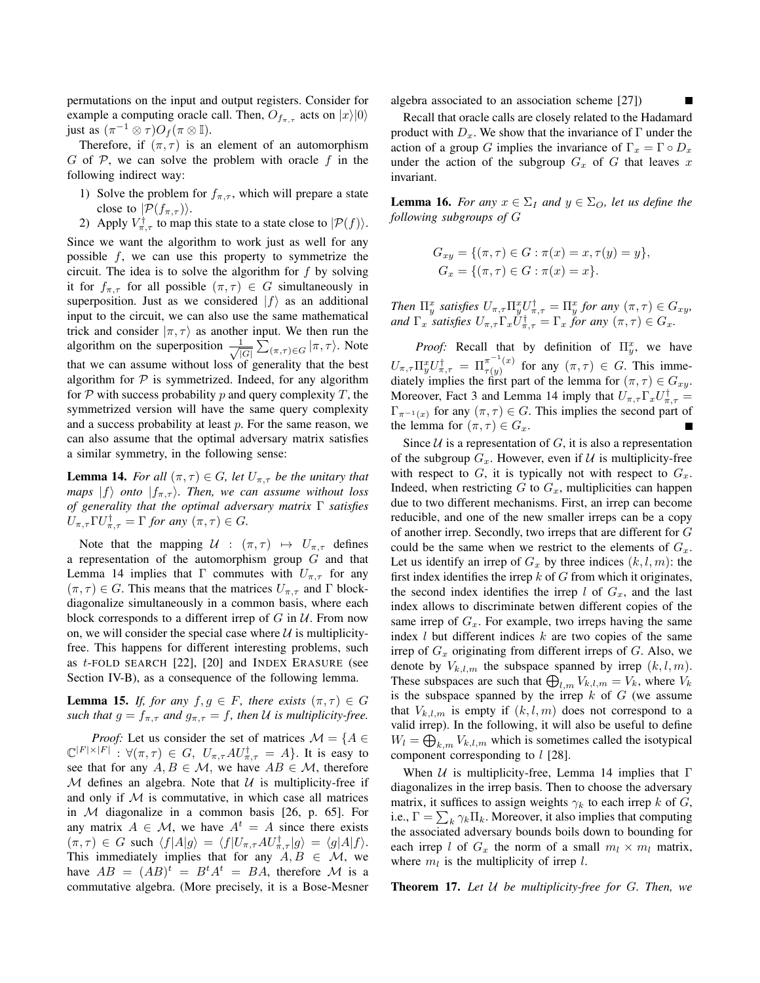permutations on the input and output registers. Consider for example a computing oracle call. Then,  $O_{f_{\pi,\tau}}$  acts on  $|x\rangle|0\rangle$ just as  $(\pi^{-1} \otimes \tau)O_f(\pi \otimes \mathbb{I}).$ 

Therefore, if  $(\pi, \tau)$  is an element of an automorphism G of  $\mathcal P$ , we can solve the problem with oracle f in the following indirect way:

- 1) Solve the problem for  $f_{\pi,\tau}$ , which will prepare a state close to  $|\mathcal{P}(f_{\pi,\tau})\rangle$ .
- 2) Apply  $V_{\pi,\tau}^{\dagger}$  to map this state to a state close to  $|\mathcal{P}(f)\rangle$ .

Since we want the algorithm to work just as well for any possible  $f$ , we can use this property to symmetrize the circuit. The idea is to solve the algorithm for  $f$  by solving it for  $f_{\pi,\tau}$  for all possible  $(\pi,\tau) \in G$  simultaneously in superposition. Just as we considered  $|f\rangle$  as an additional input to the circuit, we can also use the same mathematical trick and consider  $|\pi, \tau\rangle$  as another input. We then run the algorithm on the superposition  $-\frac{1}{4}$  $\frac{1}{|G|} \sum_{(\pi,\tau) \in G} |\pi,\tau\rangle$ . Note that we can assume without loss of generality that the best algorithm for  $P$  is symmetrized. Indeed, for any algorithm for  $P$  with success probability  $p$  and query complexity  $T$ , the symmetrized version will have the same query complexity and a success probability at least  $p$ . For the same reason, we can also assume that the optimal adversary matrix satisfies a similar symmetry, in the following sense:

**Lemma 14.** *For all*  $(\pi, \tau) \in G$ *, let*  $U_{\pi, \tau}$  *be the unitary that maps*  $|f\rangle$  *onto*  $|f_{\pi,\tau}\rangle$ *. Then, we can assume without loss of generality that the optimal adversary matrix* Γ *satisfies*  $U_{\pi,\tau} \Gamma U_{\pi,\tau}^{\dagger} = \Gamma$  for any  $(\pi,\tau) \in G$ .

Note that the mapping  $U : (\pi, \tau) \mapsto U_{\pi, \tau}$  defines a representation of the automorphism group  $G$  and that Lemma 14 implies that Γ commutes with  $U_{\pi,\tau}$  for any  $(\pi, \tau) \in G$ . This means that the matrices  $U_{\pi, \tau}$  and  $\Gamma$  blockdiagonalize simultaneously in a common basis, where each block corresponds to a different irrep of  $G$  in  $U$ . From now on, we will consider the special case where  $U$  is multiplicityfree. This happens for different interesting problems, such as  $t$ -FOLD SEARCH  $[22]$ ,  $[20]$  and INDEX ERASURE (see Section IV-B), as a consequence of the following lemma.

**Lemma 15.** *If, for any*  $f, g \in F$ *, there exists*  $(\pi, \tau) \in G$ *such that*  $g = f_{\pi, \tau}$  *and*  $g_{\pi, \tau} = f$ *, then U is multiplicity-free.* 

*Proof:* Let us consider the set of matrices  $\mathcal{M} = \{A \in$  $\mathbb{C}^{|F|\times|F|}$ :  $\forall (\pi,\tau) \in G$ ,  $U_{\pi,\tau}AU_{\pi,\tau}^{\dagger} = A$ . It is easy to see that for any  $A, B \in \mathcal{M}$ , we have  $AB \in \mathcal{M}$ , therefore M defines an algebra. Note that  $U$  is multiplicity-free if and only if  $M$  is commutative, in which case all matrices in  $M$  diagonalize in a common basis  $[26, p. 65]$ . For any matrix  $A \in \mathcal{M}$ , we have  $A^t = A$  since there exists  $(\pi, \tau) \in G$  such  $\langle f|A|g\rangle = \langle f|U_{\pi, \tau}AU_{\pi, \tau}^{\dagger}|g\rangle = \langle g|A|f\rangle.$ This immediately implies that for any  $A, B \in \mathcal{M}$ , we have  $AB = (AB)^t = B^t A^t = BA$ , therefore M is a commutative algebra. (More precisely, it is a Bose-Mesner algebra associated to an association scheme [27])

Recall that oracle calls are closely related to the Hadamard product with  $D_x$ . We show that the invariance of  $\Gamma$  under the action of a group G implies the invariance of  $\Gamma_x = \Gamma \circ D_x$ under the action of the subgroup  $G_x$  of G that leaves x invariant.

**Lemma 16.** *For any*  $x \in \Sigma_I$  *and*  $y \in \Sigma_O$ *, let us define the following subgroups of* G

$$
G_{xy} = \{ (\pi, \tau) \in G : \pi(x) = x, \tau(y) = y \},
$$
  
\n
$$
G_x = \{ (\pi, \tau) \in G : \pi(x) = x \}.
$$

*Then*  $\Pi_y^x$  satisfies  $U_{\pi,\tau} \Pi_y^x U_{\pi,\tau}^{\dagger} = \Pi_y^x$  for any  $(\pi,\tau) \in G_{xy}$ , and  $\Gamma_x$  *satisfies*  $U_{\pi,\tau}\Gamma_x U_{\pi,\tau}^{\dagger} = \Gamma_x$  *for any*  $(\pi,\tau) \in G_x$ *.* 

*Proof:* Recall that by definition of  $\Pi_y^x$ , we have  $U_{\pi,\tau} \Pi_y^x U_{\pi,\tau}^{\dagger} = \Pi_{\tau(y)}^{\pi^{-1}(x)}$  $\pi_{\tau(y)}^{(\pi)}$  for any  $(\pi, \tau) \in G$ . This immediately implies the first part of the lemma for  $(\pi, \tau) \in G_{xy}$ . Moreover, Fact 3 and Lemma 14 imply that  $U_{\pi,\tau}\Gamma_x U_{\pi,\tau}^{\dagger} =$  $\Gamma_{\pi^{-1}(x)}$  for any  $(\pi, \tau) \in G$ . This implies the second part of the lemma for  $(\pi, \tau) \in G_x$ .

Since  $U$  is a representation of  $G$ , it is also a representation of the subgroup  $G_x$ . However, even if  $\mathcal U$  is multiplicity-free with respect to  $G$ , it is typically not with respect to  $G_x$ . Indeed, when restricting  $G$  to  $G_x$ , multiplicities can happen due to two different mechanisms. First, an irrep can become reducible, and one of the new smaller irreps can be a copy of another irrep. Secondly, two irreps that are different for G could be the same when we restrict to the elements of  $G_x$ . Let us identify an irrep of  $G_x$  by three indices  $(k, l, m)$ : the first index identifies the irrep  $k$  of  $G$  from which it originates, the second index identifies the irrep  $l$  of  $G_x$ , and the last index allows to discriminate betwen different copies of the same irrep of  $G_x$ . For example, two irreps having the same index  $l$  but different indices  $k$  are two copies of the same irrep of  $G_x$  originating from different irreps of G. Also, we denote by  $V_{k,l,m}$  the subspace spanned by irrep  $(k, l, m)$ . These subspaces are such that  $\bigoplus_{l,m} V_{k,l,m} = V_k$ , where  $V_k$ is the subspace spanned by the irrep  $k$  of  $G$  (we assume that  $V_{k,l,m}$  is empty if  $(k, l, m)$  does not correspond to a valid irrep). In the following, it will also be useful to define  $W_l = \bigoplus_{k,m} V_{k,l,m}$  which is sometimes called the isotypical component corresponding to  $l$  [28].

When  $U$  is multiplicity-free, Lemma 14 implies that  $\Gamma$ diagonalizes in the irrep basis. Then to choose the adversary matrix, it suffices to assign weights  $\gamma_k$  to each irrep k of G, i.e.,  $\Gamma = \sum_{k} \gamma_k \Pi_k$ . Moreover, it also implies that computing the associated adversary bounds boils down to bounding for each irrep l of  $G_x$  the norm of a small  $m_l \times m_l$  matrix, where  $m_l$  is the multiplicity of irrep l.

Theorem 17. *Let* U *be multiplicity-free for* G*. Then, we*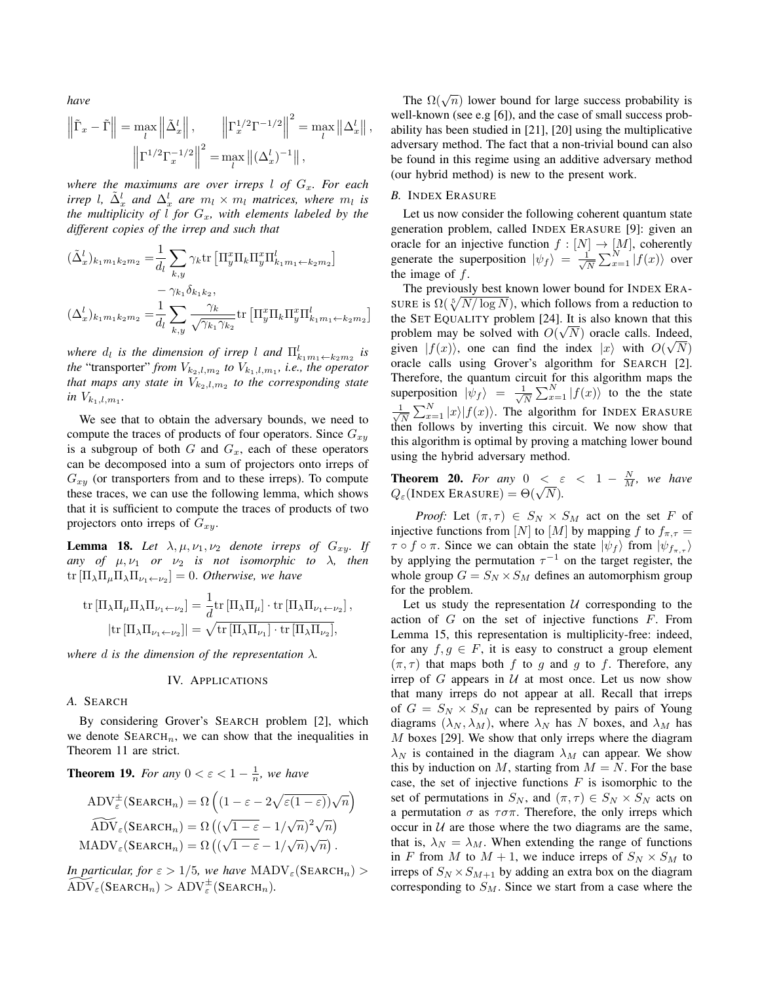*have*

$$
\left\| \tilde{\Gamma}_x - \tilde{\Gamma} \right\| = \max_l \left\| \tilde{\Delta}_x^l \right\|, \qquad \left\| \Gamma_x^{1/2} \Gamma^{-1/2} \right\|^2 = \max_l \left\| \Delta_x^l \right\|,
$$

$$
\left\| \Gamma^{1/2} \Gamma_x^{-1/2} \right\|^2 = \max_l \left\| (\Delta_x^l)^{-1} \right\|,
$$

*where the maximums are over irreps l of*  $G_x$ *. For each irrep l*,  $\tilde{\Delta}_x^l$  and  $\Delta_x^l$  are  $m_l \times m_l$  *matrices, where*  $m_l$  *is the multiplicity of l for*  $G_x$ *, with elements labeled by the different copies of the irrep and such that*

$$
\begin{split} (\tilde{\Delta}^l_x)_{k_1m_1k_2m_2} =& \frac{1}{d_l}\sum_{k,y}\gamma_k\mathrm{tr}\left[\Pi_y^x\Pi_k\Pi_y^x\Pi_{k_1m_1\leftarrow k_2m_2}\right]\\ &- \gamma_{k_1}\delta_{k_1k_2},\\ (\Delta^l_x)_{k_1m_1k_2m_2} =& \frac{1}{d_l}\sum_{k,y}\frac{\gamma_k}{\sqrt{\gamma_{k_1}\gamma_{k_2}}}\mathrm{tr}\left[\Pi_y^x\Pi_k\Pi_y^x\Pi_{k_1m_1\leftarrow k_2m_2}\right] \end{split}
$$

*where*  $d_l$  *is the dimension of irrep* l *and*  $\prod_{k_1m_1\leftarrow k_2m_2}^{l}$  *is the* "transporter" *from*  $V_{k_2, l, m_2}$  *to*  $V_{k_1, l, m_1}$ *, i.e., the operator* that maps any state in  $V_{k_2,l,m_2}$  to the corresponding state *in*  $V_{k_1, l, m_1}$ .

We see that to obtain the adversary bounds, we need to compute the traces of products of four operators. Since  $G_{xy}$ is a subgroup of both  $G$  and  $G_x$ , each of these operators can be decomposed into a sum of projectors onto irreps of  $G_{xy}$  (or transporters from and to these irreps). To compute these traces, we can use the following lemma, which shows that it is sufficient to compute the traces of products of two projectors onto irreps of  $G_{xy}$ .

**Lemma 18.** Let  $\lambda, \mu, \nu_1, \nu_2$  denote irreps of  $G_{xy}$ . If *any of*  $\mu, \nu_1$  *or*  $\nu_2$  *is not isomorphic to*  $\lambda$ *, then*  $\text{tr}\left[\Pi_{\lambda}\Pi_{\mu}\Pi_{\lambda}\Pi_{\nu_1\leftarrow\nu_2}\right]=0$ . *Otherwise, we have* 

$$
\text{tr}\left[\Pi_{\lambda}\Pi_{\mu}\Pi_{\lambda}\Pi_{\nu_{1}\leftarrow\nu_{2}}\right] = \frac{1}{d}\text{tr}\left[\Pi_{\lambda}\Pi_{\mu}\right] \cdot \text{tr}\left[\Pi_{\lambda}\Pi_{\nu_{1}\leftarrow\nu_{2}}\right],
$$
\n
$$
\left|\text{tr}\left[\Pi_{\lambda}\Pi_{\nu_{1}\leftarrow\nu_{2}}\right]\right| = \sqrt{\text{tr}\left[\Pi_{\lambda}\Pi_{\nu_{1}}\right] \cdot \text{tr}\left[\Pi_{\lambda}\Pi_{\nu_{2}}\right]},
$$

*where* d *is the dimension of the representation* λ*.*

#### IV. APPLICATIONS

*A.* SEARCH

By considering Grover's SEARCH problem [2], which we denote  $SEARCH<sub>n</sub>$ , we can show that the inequalities in Theorem 11 are strict.

**Theorem 19.** For any 
$$
0 < \varepsilon < 1 - \frac{1}{n}
$$
, we have  
\n
$$
ADV_{\varepsilon}^{\pm}(\text{SEARCH}_n) = \Omega \left( (1 - \varepsilon - 2\sqrt{\varepsilon(1-\varepsilon)})\sqrt{n} \right)
$$

$$
\widetilde{\text{ADV}}_{\varepsilon}(\text{SEARCH}_n) = \Omega\left((\sqrt{1-\varepsilon} - 1/\sqrt{n})^2\sqrt{n}\right)
$$

$$
\text{MADV}_{\varepsilon}(\text{SEARCH}_n) = \Omega\left((\sqrt{1-\varepsilon} - 1/\sqrt{n})\sqrt{n}\right).
$$

*In particular, for*  $\varepsilon > 1/5$ *, we have*  $\text{MADV}_{\varepsilon}(\text{SEARCH}_n)$  $\widetilde{\mathrm{ADV}}_{\varepsilon}(\mathrm{SEARCH}_n) > \mathrm{ADV}_{\varepsilon}^{\pm}(\mathrm{SEARCH}_n).$ 

The  $\Omega(\sqrt{n})$  lower bound for large success probability is well-known (see e.g [6]), and the case of small success probability has been studied in [21], [20] using the multiplicative adversary method. The fact that a non-trivial bound can also be found in this regime using an additive adversary method (our hybrid method) is new to the present work.

#### *B.* INDEX ERASURE

Let us now consider the following coherent quantum state generation problem, called INDEX ERASURE [9]: given an oracle for an injective function  $f : [N] \to [M]$ , coherently generate the superposition  $|\psi_f\rangle = \frac{1}{\sqrt{2}}$  $\frac{1}{N} \sum_{x=1}^{N} |f(x)\rangle$  over the image of  $f$ .

The previously best known lower bound for INDEX ERA-SURE is  $\Omega(\sqrt[5]{N/\log N})$ , which follows from a reduction to the SET EQUALITY problem [24]. It is also known that this problem may be solved with  $O(\sqrt{N})$  oracle calls. Indeed, given  $|f(x)\rangle$ , one can find the index  $|x\rangle$  with  $O(\sqrt{N})$ oracle calls using Grover's algorithm for SEARCH [2]. Therefore, the quantum circuit for this algorithm maps the superposition  $|\psi_f\rangle = \frac{1}{\sqrt{2}}$  $\frac{1}{N} \sum_{x=1}^{N} |f(x)\rangle$  to the the state  $\frac{1}{6}$  $\frac{1}{N} \sum_{x=1}^{N} |x\rangle |f(x)\rangle$ . The algorithm for INDEX ERASURE then follows by inverting this circuit. We now show that this algorithm is optimal by proving a matching lower bound using the hybrid adversary method.

**Theorem 20.** *For any*  $0 < \varepsilon < 1 - \frac{N}{M}$ , we have  $Q_{\varepsilon}(\text{INDEX ERASURE}) = \Theta(\sqrt{N}).$ 

*Proof:* Let  $(\pi, \tau) \in S_N \times S_M$  act on the set F of injective functions from [N] to [M] by mapping f to  $f_{\pi,\tau}$  =  $\tau \circ f \circ \pi$ . Since we can obtain the state  $|\psi_f\rangle$  from  $|\psi_{f_{\pi,\tau}}\rangle$ by applying the permutation  $\tau^{-1}$  on the target register, the whole group  $G = S_N \times S_M$  defines an automorphism group for the problem.

Let us study the representation  $U$  corresponding to the action of  $G$  on the set of injective functions  $F$ . From Lemma 15, this representation is multiplicity-free: indeed, for any  $f, g \in F$ , it is easy to construct a group element  $(\pi, \tau)$  that maps both f to g and g to f. Therefore, any irrep of  $G$  appears in  $U$  at most once. Let us now show that many irreps do not appear at all. Recall that irreps of  $G = S_N \times S_M$  can be represented by pairs of Young diagrams  $(\lambda_N, \lambda_M)$ , where  $\lambda_N$  has N boxes, and  $\lambda_M$  has  $M$  boxes [29]. We show that only irreps where the diagram  $\lambda_N$  is contained in the diagram  $\lambda_M$  can appear. We show this by induction on M, starting from  $M = N$ . For the base case, the set of injective functions  $F$  is isomorphic to the set of permutations in  $S_N$ , and  $(\pi, \tau) \in S_N \times S_N$  acts on a permutation  $\sigma$  as  $\tau \sigma \pi$ . Therefore, the only irreps which occur in  $U$  are those where the two diagrams are the same, that is,  $\lambda_N = \lambda_M$ . When extending the range of functions in F from M to  $M + 1$ , we induce irreps of  $S_N \times S_M$  to irreps of  $S_N \times S_{M+1}$  by adding an extra box on the diagram corresponding to  $S_M$ . Since we start from a case where the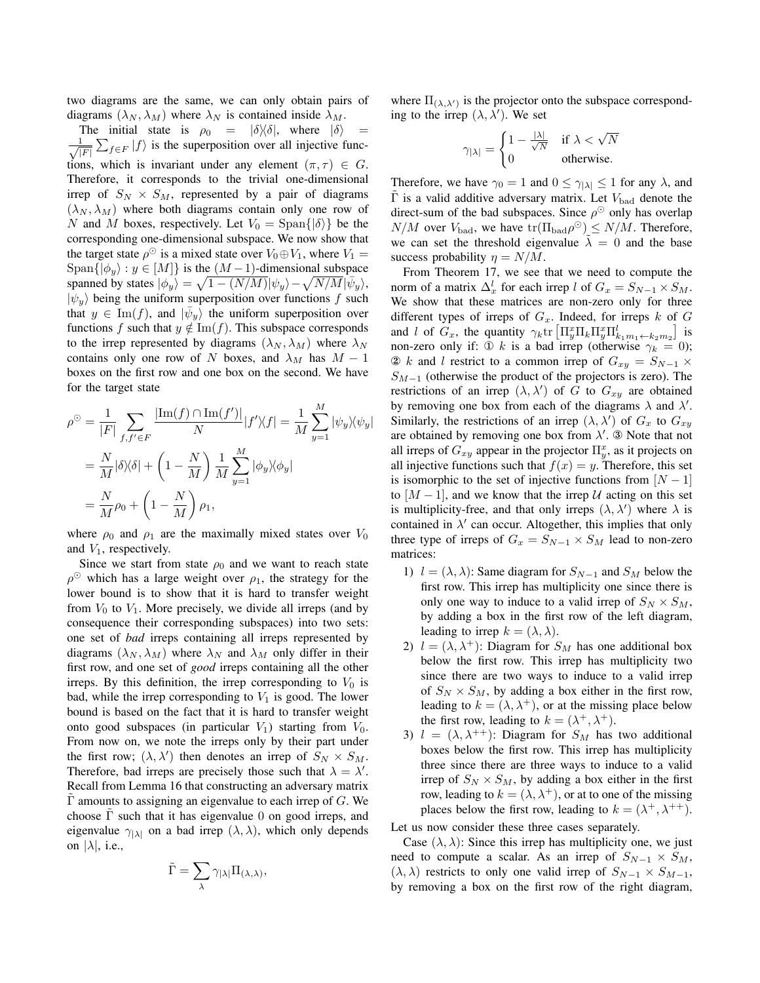two diagrams are the same, we can only obtain pairs of diagrams  $(\lambda_N, \lambda_M)$  where  $\lambda_N$  is contained inside  $\lambda_M$ .

The initial state is  $\rho_0 = |\delta\rangle\langle\delta|$ , where  $|\delta\rangle$  $\frac{1}{\sqrt{2}}$  $\frac{1}{|F|} \sum_{f \in F} |f\rangle$  is the superposition over all injective functions, which is invariant under any element  $(\pi, \tau) \in G$ . Therefore, it corresponds to the trivial one-dimensional irrep of  $S_N \times S_M$ , represented by a pair of diagrams  $(\lambda_N, \lambda_M)$  where both diagrams contain only one row of N and M boxes, respectively. Let  $V_0 = \text{Span}\{|\delta\rangle\}$  be the corresponding one-dimensional subspace. We now show that the target state  $\rho^{\odot}$  is a mixed state over  $V_0 \oplus V_1$ , where  $V_1 =$  $\text{Span}\{|\phi_u\rangle : y \in [M]\}$  is the  $(M-1)$ -dimensional subspace spanned by states  $|\phi_y\rangle = \sqrt{1 - (N/M)} |\psi_y\rangle - \sqrt{N/M} |\bar{\psi}_y\rangle$ ,  $|\psi_y\rangle$  being the uniform superposition over functions f such that  $y \in \text{Im}(f)$ , and  $|\bar{\psi}_y\rangle$  the uniform superposition over functions f such that  $y \notin \text{Im}(f)$ . This subspace corresponds to the irrep represented by diagrams  $(\lambda_N, \lambda_M)$  where  $\lambda_N$ contains only one row of N boxes, and  $\lambda_M$  has  $M - 1$ boxes on the first row and one box on the second. We have for the target state

$$
\rho^{\odot} = \frac{1}{|F|} \sum_{f, f' \in F} \frac{|\text{Im}(f) \cap \text{Im}(f')|}{N} |f'\rangle\langle f| = \frac{1}{M} \sum_{y=1}^{M} |\psi_y\rangle\langle\psi_y|
$$
  
= 
$$
\frac{N}{M} |\delta\rangle\langle\delta| + \left(1 - \frac{N}{M}\right) \frac{1}{M} \sum_{y=1}^{M} |\phi_y\rangle\langle\phi_y|
$$
  
= 
$$
\frac{N}{M} \rho_0 + \left(1 - \frac{N}{M}\right) \rho_1,
$$

where  $\rho_0$  and  $\rho_1$  are the maximally mixed states over  $V_0$ and  $V_1$ , respectively.

Since we start from state  $\rho_0$  and we want to reach state  $\rho^{\odot}$  which has a large weight over  $\rho_1$ , the strategy for the lower bound is to show that it is hard to transfer weight from  $V_0$  to  $V_1$ . More precisely, we divide all irreps (and by consequence their corresponding subspaces) into two sets: one set of *bad* irreps containing all irreps represented by diagrams  $(\lambda_N, \lambda_M)$  where  $\lambda_N$  and  $\lambda_M$  only differ in their first row, and one set of *good* irreps containing all the other irreps. By this definition, the irrep corresponding to  $V_0$  is bad, while the irrep corresponding to  $V_1$  is good. The lower bound is based on the fact that it is hard to transfer weight onto good subspaces (in particular  $V_1$ ) starting from  $V_0$ . From now on, we note the irreps only by their part under the first row;  $(\lambda, \lambda')$  then denotes an irrep of  $S_N \times S_M$ . Therefore, bad irreps are precisely those such that  $\lambda = \lambda'$ . Recall from Lemma 16 that constructing an adversary matrix  $\Gamma$  amounts to assigning an eigenvalue to each irrep of G. We choose  $\Gamma$  such that it has eigenvalue 0 on good irreps, and eigenvalue  $\gamma_{|\lambda|}$  on a bad irrep  $(\lambda, \lambda)$ , which only depends on  $|\lambda|$ , i.e.,

$$
\tilde{\Gamma}=\sum_{\lambda}\gamma_{|\lambda|}\Pi_{(\lambda,\lambda)},
$$

where  $\Pi_{(\lambda,\lambda)}$  is the projector onto the subspace corresponding to the irrep  $(\lambda, \lambda')$ . We set

$$
\gamma_{|\lambda|} = \begin{cases} 1 - \frac{|\lambda|}{\sqrt{N}} & \text{if } \lambda < \sqrt{N} \\ 0 & \text{otherwise.} \end{cases}
$$

Therefore, we have  $\gamma_0 = 1$  and  $0 \le \gamma_{|\lambda|} \le 1$  for any  $\lambda$ , and  $Γ$  is a valid additive adversary matrix. Let  $V_{bad}$  denote the direct-sum of the bad subspaces. Since  $\rho^{\odot}$  only has overlap  $N/M$  over  $V_{bad}$ , we have  $\text{tr}(\Pi_{bad}\rho^{\odot}) \leq N/M$ . Therefore, we can set the threshold eigenvalue  $\lambda = 0$  and the base success probability  $\eta = N/M$ .

From Theorem 17, we see that we need to compute the norm of a matrix  $\Delta_x^l$  for each irrep l of  $G_x = S_{N-1} \times S_M$ . We show that these matrices are non-zero only for three different types of irreps of  $G_x$ . Indeed, for irreps k of G and l of  $G_x$ , the quantity  $\gamma_k$ tr  $\left[\prod_{y}^{x}\prod_{k}\prod_{y}^{y}\prod_{k_1m_1\leftarrow k_2m_2}\right]$  is non-zero only if: ① k is a bad irrep (otherwise  $\gamma_k = 0$ ); ② k and l restrict to a common irrep of  $G_{xy} = S_{N-1}$  ×  $S_{M-1}$  (otherwise the product of the projectors is zero). The restrictions of an irrep  $(\lambda, \lambda')$  of G to  $G_{xy}$  are obtained by removing one box from each of the diagrams  $\lambda$  and  $\lambda'$ . Similarly, the restrictions of an irrep  $(\lambda, \lambda')$  of  $G_x$  to  $G_{xy}$ are obtained by removing one box from  $\lambda'$ . ③ Note that not all irreps of  $G_{xy}$  appear in the projector  $\Pi_y^x$ , as it projects on all injective functions such that  $f(x) = y$ . Therefore, this set is isomorphic to the set of injective functions from  $[N-1]$ to  $[M-1]$ , and we know that the irrep U acting on this set is multiplicity-free, and that only irreps  $(\lambda, \lambda')$  where  $\lambda$  is contained in  $\lambda'$  can occur. Altogether, this implies that only three type of irreps of  $G_x = S_{N-1} \times S_M$  lead to non-zero matrices:

- 1)  $l = (\lambda, \lambda)$ : Same diagram for  $S_{N-1}$  and  $S_M$  below the first row. This irrep has multiplicity one since there is only one way to induce to a valid irrep of  $S_N \times S_M$ , by adding a box in the first row of the left diagram, leading to irrep  $k = (\lambda, \lambda)$ .
- 2)  $l = (\lambda, \lambda^+)$ : Diagram for  $S_M$  has one additional box below the first row. This irrep has multiplicity two since there are two ways to induce to a valid irrep of  $S_N \times S_M$ , by adding a box either in the first row, leading to  $k = (\lambda, \lambda^+)$ , or at the missing place below the first row, leading to  $k = (\lambda^+, \lambda^+)$ .
- 3)  $l = (\lambda, \lambda^{++})$ : Diagram for  $S_M$  has two additional boxes below the first row. This irrep has multiplicity three since there are three ways to induce to a valid irrep of  $S_N \times S_M$ , by adding a box either in the first row, leading to  $k = (\lambda, \lambda^+)$ , or at to one of the missing places below the first row, leading to  $k = (\lambda^+, \lambda^{++})$ .

Let us now consider these three cases separately.

Case  $(\lambda, \lambda)$ : Since this irrep has multiplicity one, we just need to compute a scalar. As an irrep of  $S_{N-1} \times S_M$ ,  $(\lambda, \lambda)$  restricts to only one valid irrep of  $S_{N-1} \times S_{M-1}$ , by removing a box on the first row of the right diagram,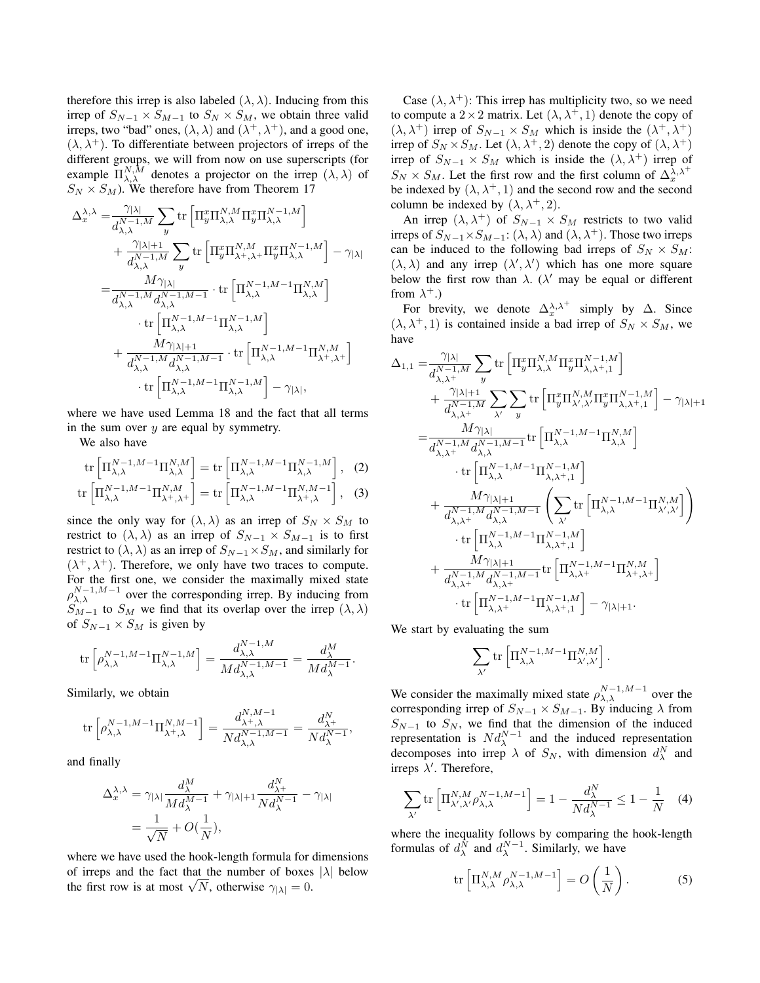therefore this irrep is also labeled  $(\lambda, \lambda)$ . Inducing from this irrep of  $S_{N-1} \times S_{M-1}$  to  $S_N \times S_M$ , we obtain three valid irreps, two "bad" ones,  $(\lambda, \lambda)$  and  $(\lambda^+, \lambda^+)$ , and a good one,  $(\lambda, \lambda^+)$ . To differentiate between projectors of irreps of the different groups, we will from now on use superscripts (for example  $\Pi_{\lambda,\lambda}^{N,\tilde{M}}$  denotes a projector on the irrep  $(\lambda,\lambda)$  of  $S_N \times S_M$ ). We therefore have from Theorem 17

$$
\begin{split} \Delta_{x}^{\lambda,\lambda}=&\frac{\gamma_{|\lambda|}}{d_{\lambda,\lambda}^{N-1,M}}\sum_{y}\mathrm{tr}\left[\Pi_{y}^{x}\Pi_{\lambda,\lambda}^{N,M}\Pi_{y}^{x}\Pi_{\lambda,\lambda}^{N-1,M}\right]\\ &+\frac{\gamma_{|\lambda|+1}}{d_{\lambda,\lambda}^{N-1,M}}\sum_{y}\mathrm{tr}\left[\Pi_{y}^{x}\Pi_{\lambda+,\lambda}^{N,M}+\Pi_{y}^{x}\Pi_{\lambda,\lambda}^{N-1,M}\right]-\gamma_{|\lambda|}\\ =&\frac{M\gamma_{|\lambda|}}{d_{\lambda,\lambda}^{N-1,M}d_{\lambda,\lambda}^{N-1,M-1}}\cdot\mathrm{tr}\left[\Pi_{\lambda,\lambda}^{N-1,M-1}\Pi_{\lambda,\lambda}^{N,M}\right]\\ &\qquad\cdot\mathrm{tr}\left[\Pi_{\lambda,\lambda}^{N-1,M-1}\Pi_{\lambda,\lambda}^{N-1,M}\right]\\ &+\frac{M\gamma_{|\lambda|+1}}{d_{\lambda,\lambda}^{N-1,M}d_{\lambda,\lambda}^{N-1,M-1}}\cdot\mathrm{tr}\left[\Pi_{\lambda,\lambda}^{N-1,M-1}\Pi_{\lambda+,\lambda+}^{N,M}\right]\\ &\qquad\cdot\mathrm{tr}\left[\Pi_{\lambda,\lambda}^{N-1,M-1}\Pi_{\lambda,\lambda}^{N-1,M}\right]-\gamma_{|\lambda|}, \end{split}
$$

where we have used Lemma 18 and the fact that all terms in the sum over  $y$  are equal by symmetry.

We also have

$$
\operatorname{tr}\left[\Pi_{\lambda,\lambda}^{N-1,M-1}\Pi_{\lambda,\lambda}^{N,M}\right] = \operatorname{tr}\left[\Pi_{\lambda,\lambda}^{N-1,M-1}\Pi_{\lambda,\lambda}^{N-1,M}\right], \quad (2)
$$
\n
$$
\operatorname{tr}\left[\Pi_{\lambda,\lambda}^{N-1,M-1}\Pi_{\lambda^+, \lambda^+}^{N,M}\right] = \operatorname{tr}\left[\Pi_{\lambda,\lambda}^{N-1,M-1}\Pi_{\lambda^+, \lambda}^{N,M-1}\right], \quad (3)
$$

since the only way for  $(\lambda, \lambda)$  as an irrep of  $S_N \times S_M$  to restrict to  $(\lambda, \lambda)$  as an irrep of  $S_{N-1} \times S_{M-1}$  is to first restrict to  $(\lambda, \lambda)$  as an irrep of  $S_{N-1} \times S_M$ , and similarly for  $(\lambda^+, \lambda^+)$ . Therefore, we only have two traces to compute. For the first one, we consider the maximally mixed state  $\rho_{\lambda,\lambda}^{N-1,M-1}$  over the corresponding irrep. By inducing from  $S_{M-1}$  to  $S_M$  we find that its overlap over the irrep  $(\lambda, \lambda)$ of  $S_{N-1} \times S_M$  is given by

$$
\mathrm{tr}\left[ \rho_{\lambda,\lambda}^{N-1,M-1} \Pi_{\lambda,\lambda}^{N-1,M} \right] = \frac{d_{\lambda,\lambda}^{N-1,M}}{M d_{\lambda,\lambda}^{N-1,M-1}} = \frac{d_\lambda^M}{M d_\lambda^{M-1}}.
$$

Similarly, we obtain

$$
\text{tr}\left[\rho_{\lambda,\lambda}^{N-1,M-1}\Pi_{\lambda^+,\lambda}^{N,M-1}\right] = \frac{d_{\lambda^+,\lambda}^{N,M-1}}{Nd_{\lambda,\lambda}^{N-1,M-1}} = \frac{d_{\lambda^+}^N}{Nd_{\lambda}^{N-1}},
$$

and finally

$$
\begin{split} \Delta^{\lambda,\lambda}_x &= \gamma_{|\lambda|} \frac{d^M_\lambda}{M d^M_\lambda} + \gamma_{|\lambda|+1} \frac{d^{N_+}_\lambda}{N d^{N-1}_\lambda} - \gamma_{|\lambda|} \\ &= \frac{1}{\sqrt{N}} + O(\frac{1}{N}), \end{split}
$$

where we have used the hook-length formula for dimensions of irreps and the fact that the number of boxes  $|\lambda|$  below of irreps and the fact that the number of boxes<br>the first row is at most  $\sqrt{N}$ , otherwise  $\gamma_{|\lambda|} = 0$ .

Case  $(\lambda, \lambda^+)$ : This irrep has multiplicity two, so we need to compute a  $2 \times 2$  matrix. Let  $(\lambda, \lambda^+, 1)$  denote the copy of  $(\lambda, \lambda^+)$  irrep of  $S_{N-1} \times S_M$  which is inside the  $(\lambda^+, \lambda^+)$ irrep of  $S_N \times S_M$ . Let  $(\lambda, \lambda^+, 2)$  denote the copy of  $(\lambda, \lambda^+)$ irrep of  $S_{N-1} \times S_M$  which is inside the  $(\lambda, \lambda^+)$  irrep of  $S_N \times S_M$ . Let the first row and the first column of  $\Delta_x^{\lambda,\lambda^+}$ be indexed by  $(\lambda, \lambda^+, 1)$  and the second row and the second column be indexed by  $(\lambda, \lambda^+, 2)$ .

An irrep  $(\lambda, \lambda^+)$  of  $S_{N-1} \times S_M$  restricts to two valid irreps of  $S_{N-1} \times S_{M-1}$ :  $(\lambda, \lambda)$  and  $(\lambda, \lambda^+)$ . Those two irreps can be induced to the following bad irreps of  $S_N \times S_M$ :  $(\lambda, \lambda)$  and any irrep  $(\lambda', \lambda')$  which has one more square below the first row than  $\lambda$ . ( $\lambda'$  may be equal or different from  $\lambda^+$ .)

For brevity, we denote  $\Delta_x^{\lambda,\lambda^+}$  simply by  $\Delta$ . Since  $(\lambda, \lambda^+, 1)$  is contained inside a bad irrep of  $S_N \times S_M$ , we have

$$
\begin{split} \Delta_{1,1}=&\frac{\gamma_{|\lambda|}}{d_{\lambda,\lambda^{+}}^{N-1,M}}\sum_{y}\mathrm{tr}\left[\Pi_{y}^{x}\Pi_{\lambda,\lambda}^{N,M}\Pi_{y}^{x}\Pi_{\lambda,\lambda^{+},1}^{N-1,M}\right] \\ &+\frac{\gamma_{|\lambda|+1}}{d_{\lambda,\lambda^{+}}^{N-1,M}}\sum_{\lambda^{\prime}}\sum_{y}\mathrm{tr}\left[\Pi_{y}^{x}\Pi_{\lambda^{\prime},\lambda^{\prime}}^{N}\Pi_{y}^{x}\Pi_{\lambda,\lambda^{+},1}^{N-1,M}\right]-\gamma_{|\lambda|+1} \\ =&\frac{M\gamma_{|\lambda|}}{d_{\lambda,\lambda^{+}}^{N-1,M}d_{\lambda,\lambda}^{N-1,M-1}}\mathrm{tr}\left[\Pi_{\lambda,\lambda}^{N-1,M-1}\Pi_{\lambda,\lambda}^{N,M}\right] \\ &\qquad\cdot\mathrm{tr}\left[\Pi_{\lambda,\lambda}^{N-1,M-1}\Pi_{\lambda,\lambda^{+},1}^{N-1,M}\right] \\ &+\frac{M\gamma_{|\lambda|+1}}{d_{\lambda,\lambda^{+}}^{N-1,M}d_{\lambda,\lambda}^{N-1,M-1}}\left(\sum_{\lambda^{\prime}}\mathrm{tr}\left[\Pi_{\lambda,\lambda}^{N-1,M-1}\Pi_{\lambda^{\prime},\lambda^{\prime}}^{N,M}\right]\right) \\ &\qquad\cdot\mathrm{tr}\left[\Pi_{\lambda,\lambda}^{N-1,M-1}\Pi_{\lambda,\lambda^{+},1}^{N-1,M}\right] \\ &+\frac{M\gamma_{|\lambda|+1}}{d_{\lambda,\lambda^{+}}^{N-1,M}d_{\lambda,\lambda^{+}}} \mathrm{tr}\left[\Pi_{\lambda,\lambda^{+}}^{N-1,M-1}\Pi_{\lambda^{+},\lambda^{+}}^{N,M}\right] \\ &\qquad\cdot\mathrm{tr}\left[\Pi_{\lambda,\lambda^{+}}^{N-1,M-1}\Pi_{\lambda,\lambda^{+}}^{N-1,M}\right]-\gamma_{|\lambda|+1}. \end{split}
$$

We start by evaluating the sum

$$
\sum_{\lambda'} \operatorname{tr}\left[\Pi_{\lambda,\lambda}^{N-1,M-1} \Pi_{\lambda',\lambda'}^{N,M}\right].
$$

We consider the maximally mixed state  $\rho_{\lambda,\lambda}^{N-1,M-1}$  over the corresponding irrep of  $S_{N-1} \times S_{M-1}$ . By inducing  $\lambda$  from  $S_{N-1}$  to  $S_N$ , we find that the dimension of the induced representation is  $Nd_{\lambda}^{N-1}$  and the induced representation decomposes into irrep  $\lambda$  of  $S_N$ , with dimension  $d_{\lambda}^N$  and irreps  $\lambda'$ . Therefore,

$$
\sum_{\lambda'} \text{tr}\left[\Pi_{\lambda',\lambda'}^{N,M} \rho_{\lambda,\lambda}^{N-1,M-1}\right] = 1 - \frac{d_{\lambda}^N}{N d_{\lambda}^{N-1}} \le 1 - \frac{1}{N} \quad (4)
$$

where the inequality follows by comparing the hook-length formulas of  $d_{\lambda}^N$  and  $d_{\lambda}^{N-1}$ . Similarly, we have

$$
\operatorname{tr}\left[\Pi_{\lambda,\lambda}^{N,M} \rho_{\lambda,\lambda}^{N-1,M-1}\right] = O\left(\frac{1}{N}\right). \tag{5}
$$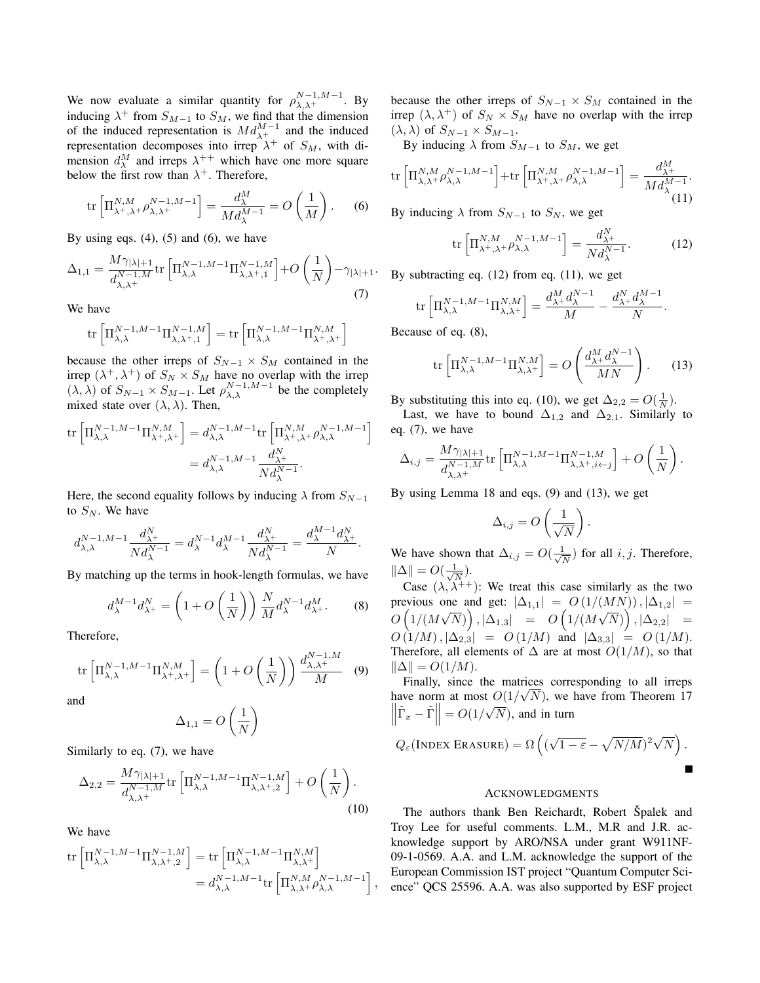We now evaluate a similar quantity for  $\rho_{\lambda,\lambda^+}^{N-1,M-1}$ . By inducing  $\lambda^+$  from  $S_{M-1}$  to  $S_M$ , we find that the dimension of the induced representation is  $Md_{\lambda^+}^{M-1}$  and the induced representation decomposes into irrep  $\lambda^+$  of  $S_M$ , with dimension  $d_{\lambda}^{M}$  and irreps  $\lambda^{++}$  which have one more square below the first row than  $\lambda^+$ . Therefore,

$$
\operatorname{tr}\left[\Pi_{\lambda^+, \lambda^+}^{N,M} \rho_{\lambda, \lambda^+}^{N-1,M-1}\right] = \frac{d_\lambda^M}{M d_\lambda^{M-1}} = O\left(\frac{1}{M}\right). \tag{6}
$$

By using eqs.  $(4)$ ,  $(5)$  and  $(6)$ , we have

$$
\Delta_{1,1} = \frac{M\gamma_{|\lambda|+1}}{d_{\lambda,\lambda^+}^{N-1,M}} \text{tr}\left[\Pi_{\lambda,\lambda}^{N-1,M-1}\Pi_{\lambda,\lambda^+,1}^{N-1,M}\right] + O\left(\frac{1}{N}\right) - \gamma_{|\lambda|+1}.
$$
\n(7)

We have

$$
\mathrm{tr}\left[\Pi_{\lambda,\lambda}^{N-1,M-1}\Pi_{\lambda,\lambda^+,1}^{N-1,M}\right]=\mathrm{tr}\left[\Pi_{\lambda,\lambda}^{N-1,M-1}\Pi_{\lambda^+,\lambda^+}^{N,M}\right]
$$

because the other irreps of  $S_{N-1} \times S_M$  contained in the irrep  $(\lambda^+, \lambda^+)$  of  $S_N \times S_M$  have no overlap with the irrep  $(\lambda, \lambda)$  of  $S_{N-1} \times S_{M-1}$ . Let  $\rho_{\lambda, \lambda}^{N-1,M-1}$  be the completely mixed state over  $(\lambda, \lambda)$ . Then,

$$
\operatorname{tr}\left[\Pi_{\lambda,\lambda}^{N-1,M-1}\Pi_{\lambda^+,\lambda^+}^{N,M}\right] = d_{\lambda,\lambda}^{N-1,M-1}\operatorname{tr}\left[\Pi_{\lambda^+,\lambda^+}^{N,M}\rho_{\lambda,\lambda}^{N-1,M-1}\right]
$$

$$
= d_{\lambda,\lambda}^{N-1,M-1}\frac{d_{\lambda^+}^{N}}{Nd_{\lambda}^{N-1}}.
$$

Here, the second equality follows by inducing  $\lambda$  from  $S_{N-1}$ to  $S_N$ . We have

$$
d^{N-1,M-1}_{\lambda,\lambda} \frac{d^{N}_{\lambda^+}}{N d^{N-1}_{\lambda}} = d^{N-1}_{\lambda} d^{M-1}_{\lambda} \frac{d^{N}_{\lambda^+}}{N d^{N-1}_{\lambda}} = \frac{d^{M-1}_{\lambda} d^{N}_{\lambda^+}}{N}.
$$

By matching up the terms in hook-length formulas, we have

$$
d_{\lambda}^{M-1} d_{\lambda^{+}}^{N} = \left(1 + O\left(\frac{1}{N}\right)\right) \frac{N}{M} d_{\lambda}^{N-1} d_{\lambda^{+}}^{M}.
$$
 (8)

Therefore,

$$
\operatorname{tr}\left[\Pi_{\lambda,\lambda}^{N-1,M-1}\Pi_{\lambda^+,\lambda^+}^{N,M}\right] = \left(1 + O\left(\frac{1}{N}\right)\right) \frac{d_{\lambda,\lambda^+}^{N-1,M}}{M} \tag{9}
$$

and

$$
\Delta_{1,1} = O\left(\frac{1}{N}\right)
$$

Similarly to eq. (7), we have

$$
\Delta_{2,2} = \frac{M\gamma_{|\lambda|+1}}{d_{\lambda,\lambda^+}^{N-1,M}} \text{tr}\left[\Pi_{\lambda,\lambda}^{N-1,M-1}\Pi_{\lambda,\lambda^+,2}^{N-1,M}\right] + O\left(\frac{1}{N}\right). \tag{10}
$$

We have

$$
\operatorname{tr}\left[\Pi_{\lambda,\lambda}^{N-1,M-1}\Pi_{\lambda,\lambda^+,2}^{N-1,M}\right] = \operatorname{tr}\left[\Pi_{\lambda,\lambda}^{N-1,M-1}\Pi_{\lambda,\lambda^+}^{N,M}\right] \n= d_{\lambda,\lambda}^{N-1,M-1} \operatorname{tr}\left[\Pi_{\lambda,\lambda^+}^{N,M} \rho_{\lambda,\lambda}^{N-1,M-1}\right],
$$

because the other irreps of  $S_{N-1} \times S_M$  contained in the irrep  $(\lambda, \lambda^+)$  of  $S_N \times S_M$  have no overlap with the irrep  $(\lambda, \lambda)$  of  $S_{N-1} \times S_{M-1}$ .

By inducing  $\lambda$  from  $S_{M-1}$  to  $S_M$ , we get

$$
\mathrm{tr}\left[\Pi_{\lambda,\lambda^+}^{N,M} \rho_{\lambda,\lambda}^{N-1,M-1}\right] + \mathrm{tr}\left[\Pi_{\lambda^+, \lambda^+}^{N,M} \rho_{\lambda,\lambda}^{N-1,M-1}\right] = \frac{d_{\lambda^+}^M}{Md_{\lambda}^{M-1}}.
$$
\n(11)

By inducing  $\lambda$  from  $S_{N-1}$  to  $S_N$ , we get

$$
\operatorname{tr}\left[\Pi_{\lambda+,\lambda+}^{N,M} \rho_{\lambda,\lambda}^{N-1,M-1}\right] = \frac{d_{\lambda+}^N}{Nd_{\lambda}^{N-1}}.\tag{12}
$$

By subtracting eq. (12) from eq. (11), we get

$$
\operatorname{tr}\left[\Pi_{\lambda,\lambda}^{N-1,M-1}\Pi_{\lambda,\lambda^+}^{N,M}\right] = \frac{d_{\lambda+}^M d_{\lambda}^{N-1}}{M} - \frac{d_{\lambda+}^N d_{\lambda}^{M-1}}{N}.
$$

Because of eq. (8),

$$
\operatorname{tr}\left[\Pi_{\lambda,\lambda}^{N-1,M-1}\Pi_{\lambda,\lambda^{+}}^{N,M}\right] = O\left(\frac{d_{\lambda^{+}}^{M}d_{\lambda}^{N-1}}{MN}\right). \tag{13}
$$

By substituting this into eq. (10), we get  $\Delta_{2,2} = O(\frac{1}{N})$ .

Last, we have to bound  $\Delta_{1,2}$  and  $\Delta_{2,1}$ . Similarly to eq. (7), we have

$$
\Delta_{i,j} = \frac{M\gamma_{|\lambda|+1}}{d_{\lambda,\lambda}^{N-1,M}} \text{tr}\left[\Pi_{\lambda,\lambda}^{N-1,M-1} \Pi_{\lambda,\lambda^+,i\leftarrow j}^{N-1,M}\right] + O\left(\frac{1}{N}\right).
$$

By using Lemma 18 and eqs. (9) and (13), we get

$$
\Delta_{i,j} = O\left(\frac{1}{\sqrt{N}}\right).
$$

We have shown that  $\Delta_{i,j} = O(\frac{1}{\sqrt{n}})$  $\frac{1}{\overline{N}}$ ) for all *i*, *j*. Therefore,  $\|\Delta\| = O(\frac{1}{\sqrt{2}})$  $\frac{1}{\overline{N}}$ ).

Case  $(\lambda, \lambda^{++})$ : We treat this case similarly as the two previous one and get:  $|\Delta_{1,1}| = O(1/(MN))$ ,  $|\Delta_{1,2}| =$  $O\left(1/(M\sqrt{N})\right), |\Delta_{1,3}|\quad =\quad O\left(1/(M\sqrt{N})\right), |\Delta_{2,2}|\quad =$  $O(1/M), |\Delta_{2,3}| = O(1/M)$  and  $|\Delta_{3,3}| = O(1/M)$ . Therefore, all elements of  $\Delta$  are at most  $O(1/M)$ , so that  $\|\Delta\| = O(1/M).$ 

Finally, since the matrices corresponding to all irreps have norm at most  $O(1/\sqrt{N})$ , we have from Theorem 17  $\left\| \tilde{\Gamma}_x - \tilde{\Gamma} \right\| = O(1/\sqrt{N})$ , and in turn

$$
Q_{\varepsilon}(\text{INDEX ERASURE}) = \Omega\left((\sqrt{1-\varepsilon} - \sqrt{N/M})^2\sqrt{N}\right).
$$

#### ACKNOWLEDGMENTS

The authors thank Ben Reichardt, Robert Špalek and Troy Lee for useful comments. L.M., M.R and J.R. acknowledge support by ARO/NSA under grant W911NF-09-1-0569. A.A. and L.M. acknowledge the support of the European Commission IST project "Quantum Computer Science" QCS 25596. A.A. was also supported by ESF project